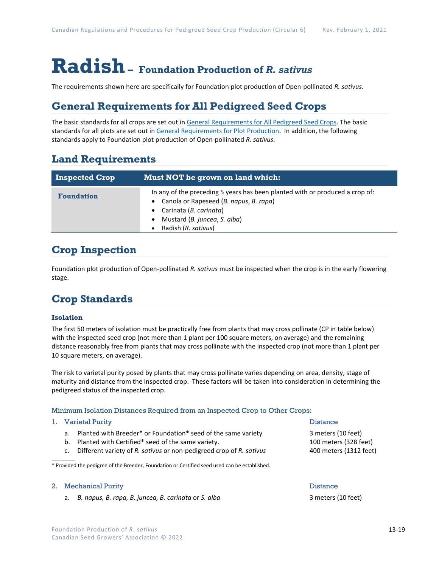# **Radish– Foundation Production of** *R. sativus*

The requirements shown here are specifically for Foundation plot production of Open-pollinated *R. sativus.*

### **General Requirements for All Pedigreed Seed Crops**

The basic standards for all crops are set out i[n General Requirements for All Pedigreed Seed](https://seedgrowers.ca/wp-content/uploads/2020/01/GENERAL-REQUIREMENTS-ALL-CROPS_EN.pdf) Crops. The basic standards for all plots are set out i[n General Requirements for Plot Production.](https://seedgrowers.ca/wp-content/uploads/2020/01/GENERAL-REQUIREMENTS-PLOTS_EN.pdf) In addition, the following standards apply to Foundation plot production of Open-pollinated *R. sativus*.

### **Land Requirements**

| <b>Inspected Crop</b> | <b>Must NOT be grown on land which:</b>                                                                                                                                                                     |  |  |  |  |
|-----------------------|-------------------------------------------------------------------------------------------------------------------------------------------------------------------------------------------------------------|--|--|--|--|
| <b>Foundation</b>     | In any of the preceding 5 years has been planted with or produced a crop of:<br>• Canola or Rapeseed (B. napus, B. rapa)<br>• Carinata (B. carinata)<br>Mustard (B. juncea, S. alba)<br>Radish (R. sativus) |  |  |  |  |

## **Crop Inspection**

Foundation plot production of Open-pollinated *R. sativus* must be inspected when the crop is in the early flowering stage.

## **Crop Standards**

### **Isolation**

The first 50 meters of isolation must be practically free from plants that may cross pollinate (CP in table below) with the inspected seed crop (not more than 1 plant per 100 square meters, on average) and the remaining distance reasonably free from plants that may cross pollinate with the inspected crop (not more than 1 plant per 10 square meters, on average).

The risk to varietal purity posed by plants that may cross pollinate varies depending on area, density, stage of maturity and distance from the inspected crop. These factors will be taken into consideration in determining the pedigreed status of the inspected crop.

#### Minimum Isolation Distances Required from an Inspected Crop to Other Crops:

#### 1. Varietal Purity **Distance Report in the United States** of the Distance Distance

 $\overline{\phantom{a}}$ 

- a. Planted with Breeder\* or Foundation\* seed of the same variety 3 meters (10 feet)
- b. Planted with Certified\* seed of the same variety. 100 meters (328 feet)
- c. Different variety of *R. sativus* or non-pedigreed crop of *R. sativus* 400 meters (1312 feet)

\* Provided the pedigree of the Breeder, Foundation or Certified seed used can be established.

#### 2. Mechanical Purity **Distance 2. Second Act 2. Act 2. Act 2.** Obstance

a. *B. napus, B. rapa, B. juncea, B. carinata* or *S. alba* 3 meters (10 feet)